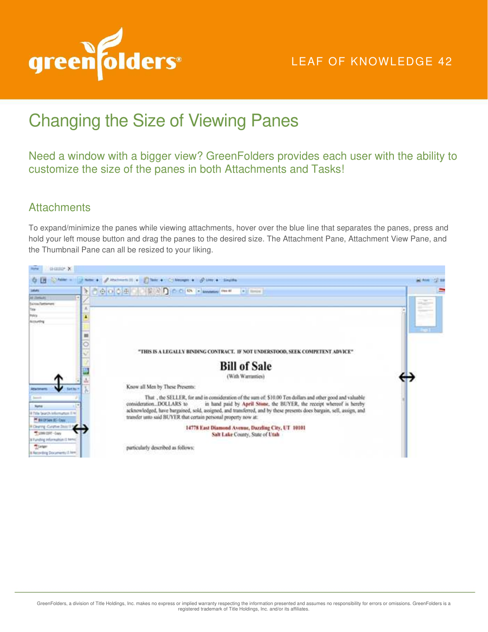

## LEAF OF KNOWLEDGE 42

## Changing the Size of Viewing Panes

Need a window with a bigger view? GreenFolders provides each user with the ability to customize the size of the panes in both Attachments and Tasks!

## **Attachments**

To expand/minimize the panes while viewing attachments, hover over the blue line that separates the panes, press and hold your left mouse button and drag the panes to the desired size. The Attachment Pane, Attachment View Pane, and the Thumbnail Pane can all be resized to your liking.